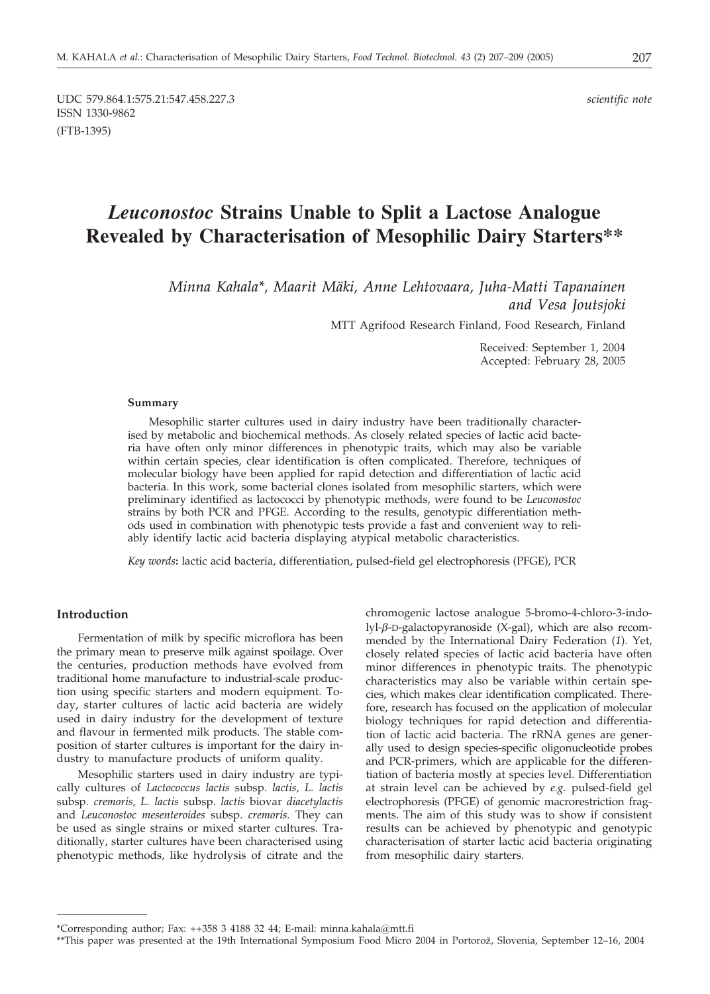UDC 579.864.1:575.21:547.458.227.3 *scientific note* ISSN 1330-9862 (FTB-1395)

# *Leuconostoc* **Strains Unable to Split a Lactose Analogue Revealed by Characterisation of Mesophilic Dairy Starters\*\***

*Minna Kahala\*, Maarit Mäki, Anne Lehtovaara, Juha-Matti Tapanainen and Vesa Joutsjoki*

MTT Agrifood Research Finland, Food Research, Finland

Received: September 1, 2004 Accepted: February 28, 2005

#### **Summary**

Mesophilic starter cultures used in dairy industry have been traditionally characterised by metabolic and biochemical methods. As closely related species of lactic acid bacteria have often only minor differences in phenotypic traits, which may also be variable within certain species, clear identification is often complicated. Therefore, techniques of molecular biology have been applied for rapid detection and differentiation of lactic acid bacteria. In this work, some bacterial clones isolated from mesophilic starters, which were preliminary identified as lactococci by phenotypic methods, were found to be *Leuconostoc* strains by both PCR and PFGE. According to the results, genotypic differentiation methods used in combination with phenotypic tests provide a fast and convenient way to reliably identify lactic acid bacteria displaying atypical metabolic characteristics.

*Key words***:** lactic acid bacteria, differentiation, pulsed-field gel electrophoresis (PFGE), PCR

### **Introduction**

Fermentation of milk by specific microflora has been the primary mean to preserve milk against spoilage. Over the centuries, production methods have evolved from traditional home manufacture to industrial-scale production using specific starters and modern equipment. Today, starter cultures of lactic acid bacteria are widely used in dairy industry for the development of texture and flavour in fermented milk products. The stable composition of starter cultures is important for the dairy industry to manufacture products of uniform quality.

Mesophilic starters used in dairy industry are typically cultures of *Lactococcus lactis* subsp. *lactis, L. lactis* subsp. *cremoris, L. lactis* subsp. *lactis* biovar *diacetylactis* and *Leuconostoc mesenteroides* subsp. *cremoris.* They can be used as single strains or mixed starter cultures. Traditionally, starter cultures have been characterised using phenotypic methods, like hydrolysis of citrate and the

chromogenic lactose analogue 5-bromo-4-chloro-3-indolyl-*b*-D-galactopyranoside (X-gal), which are also recommended by the International Dairy Federation (*1*). Yet, closely related species of lactic acid bacteria have often minor differences in phenotypic traits. The phenotypic characteristics may also be variable within certain species, which makes clear identification complicated. Therefore, research has focused on the application of molecular biology techniques for rapid detection and differentiation of lactic acid bacteria. The rRNA genes are generally used to design species-specific oligonucleotide probes and PCR-primers, which are applicable for the differentiation of bacteria mostly at species level. Differentiation at strain level can be achieved by *e.g.* pulsed-field gel electrophoresis (PFGE) of genomic macrorestriction fragments. The aim of this study was to show if consistent results can be achieved by phenotypic and genotypic characterisation of starter lactic acid bacteria originating from mesophilic dairy starters.

<sup>\*</sup>Corresponding author; Fax: ++358 3 4188 32 44; E-mail: minna.kahala*@*mtt.fi

<sup>\*\*</sup>This paper was presented at the 19th International Symposium Food Micro 2004 in Portorož, Slovenia, September 12-16, 2004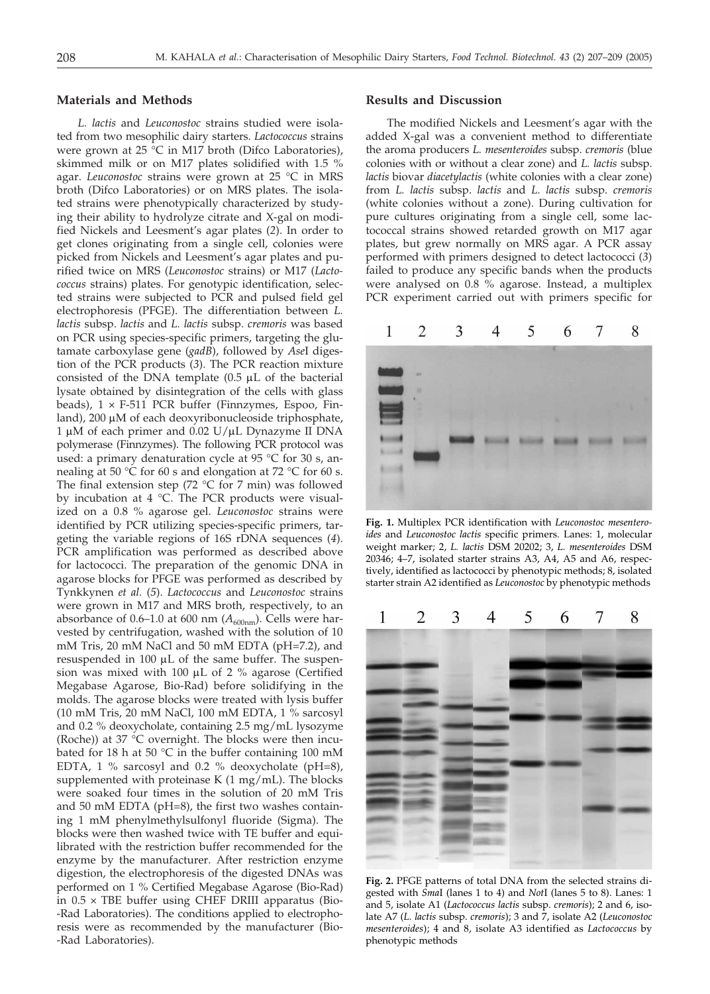#### **Materials and Methods**

*L. lactis* and *Leuconostoc* strains studied were isolated from two mesophilic dairy starters. *Lactococcus* strains were grown at 25 °C in M17 broth (Difco Laboratories), skimmed milk or on M17 plates solidified with 1.5 % agar. *Leuconostoc* strains were grown at 25 °C in MRS broth (Difco Laboratories) or on MRS plates. The isolated strains were phenotypically characterized by studying their ability to hydrolyze citrate and X-gal on modified Nickels and Leesment's agar plates (*2*). In order to get clones originating from a single cell, colonies were picked from Nickels and Leesment's agar plates and purified twice on MRS (*Leuconostoc* strains) or M17 (*Lactococcus* strains) plates. For genotypic identification, selected strains were subjected to PCR and pulsed field gel electrophoresis (PFGE). The differentiation between *L. lactis* subsp. *lactis* and *L. lactis* subsp. *cremoris* was based on PCR using species-specific primers, targeting the glutamate carboxylase gene (*gadB*), followed by *Ase*I digestion of the PCR products (*3*). The PCR reaction mixture consisted of the DNA template  $(0.5 \mu L)$  of the bacterial lysate obtained by disintegration of the cells with glass beads),  $1 \times F$ -511 PCR buffer (Finnzymes, Espoo, Finland),  $200 \mu M$  of each deoxyribonucleoside triphosphate,  $1 \mu$ M of each primer and 0.02 U/ $\mu$ L Dynazyme II DNA polymerase (Finnzymes). The following PCR protocol was used: a primary denaturation cycle at 95 °C for 30 s, annealing at 50 °C for 60 s and elongation at 72 °C for 60 s. The final extension step (72  $\degree$ C for 7 min) was followed by incubation at 4 °C. The PCR products were visualized on a 0.8 % agarose gel. *Leuconostoc* strains were identified by PCR utilizing species-specific primers, targeting the variable regions of 16S rDNA sequences (*4*). PCR amplification was performed as described above for lactococci. The preparation of the genomic DNA in agarose blocks for PFGE was performed as described by Tynkkynen *et al.* (*5*). *Lactococcus* and *Leuconostoc* strains were grown in M17 and MRS broth, respectively, to an absorbance of  $0.6-1.0$  at  $600$  nm  $(A_{600nm})$ . Cells were harvested by centrifugation, washed with the solution of 10 mM Tris, 20 mM NaCl and 50 mM EDTA (pH=7.2), and resuspended in  $100 \mu L$  of the same buffer. The suspension was mixed with 100  $\mu$ L of 2 % agarose (Certified Megabase Agarose, Bio-Rad) before solidifying in the molds. The agarose blocks were treated with lysis buffer (10 mM Tris, 20 mM NaCl, 100 mM EDTA, 1 % sarcosyl and 0.2 % deoxycholate, containing 2.5 mg/mL lysozyme (Roche)) at 37 °C overnight. The blocks were then incubated for 18 h at 50 °C in the buffer containing 100 mM EDTA, 1 % sarcosyl and 0.2 % deoxycholate (pH=8), supplemented with proteinase K (1 mg/mL). The blocks were soaked four times in the solution of 20 mM Tris and 50 mM EDTA (pH=8), the first two washes containing 1 mM phenylmethylsulfonyl fluoride (Sigma). The blocks were then washed twice with TE buffer and equilibrated with the restriction buffer recommended for the enzyme by the manufacturer. After restriction enzyme digestion, the electrophoresis of the digested DNAs was performed on 1 % Certified Megabase Agarose (Bio-Rad) in  $0.5 \times$  TBE buffer using CHEF DRIII apparatus (Bio--Rad Laboratories). The conditions applied to electrophoresis were as recommended by the manufacturer (Bio- -Rad Laboratories).

#### **Results and Discussion**

The modified Nickels and Leesment's agar with the added X-gal was a convenient method to differentiate the aroma producers *L. mesenteroides* subsp. *cremoris* (blue colonies with or without a clear zone) and *L. lactis* subsp. *lactis* biovar *diacetylactis* (white colonies with a clear zone) from *L. lactis* subsp. *lactis* and *L. lactis* subsp. *cremoris* (white colonies without a zone). During cultivation for pure cultures originating from a single cell, some lactococcal strains showed retarded growth on M17 agar plates, but grew normally on MRS agar. A PCR assay performed with primers designed to detect lactococci (*3*) failed to produce any specific bands when the products were analysed on  $0.8\%$  agarose. Instead, a multiplex PCR experiment carried out with primers specific for



**Fig. 1.** Multiplex PCR identification with *Leuconostoc mesenteroides* and *Leuconostoc lactis* specific primers. Lanes: 1, molecular weight marker; 2, *L. lactis* DSM 20202; 3, *L. mesenteroides* DSM 20346; 4–7, isolated starter strains A3, A4, A5 and A6, respectively, identified as lactococci by phenotypic methods; 8, isolated starter strain A2 identified as *Leuconostoc* by phenotypic methods



**Fig. 2.** PFGE patterns of total DNA from the selected strains digested with *Sma*I (lanes 1 to 4) and *Not*I (lanes 5 to 8). Lanes: 1 and 5, isolate A1 (*Lactococcus lactis* subsp. *cremoris*); 2 and 6, isolate A7 (*L. lactis* subsp. *cremoris*); 3 and 7, isolate A2 (*Leuconostoc mesenteroides*); 4 and 8, isolate A3 identified as *Lactococcus* by phenotypic methods